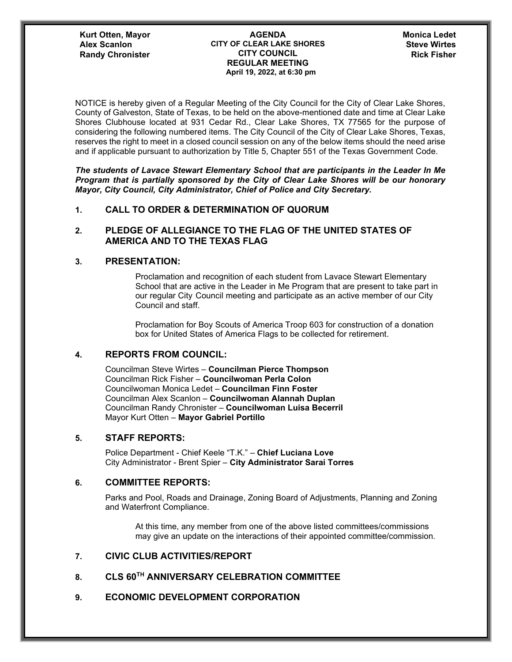#### **Kurt Otten, Mayor AGENDA CITY OF CLEAR LAKE SHORES Alex Scanlon Steve Wirtes CITY COUNCIL REGULAR MEETING April 19, 2022, at 6:30 pm Randy Chronister CITY COUNCIL COUNCIL Rick Fisher**

NOTICE is hereby given of a Regular Meeting of the City Council for the City of Clear Lake Shores, County of Galveston, State of Texas, to be held on the above-mentioned date and time at Clear Lake Shores Clubhouse located at 931 Cedar Rd., Clear Lake Shores, TX 77565 for the purpose of considering the following numbered items. The City Council of the City of Clear Lake Shores, Texas, reserves the right to meet in a closed council session on any of the below items should the need arise and if applicable pursuant to authorization by Title 5, Chapter 551 of the Texas Government Code.

*The students of Lavace Stewart Elementary School that are participants in the Leader In Me Program that is partially sponsored by the City of Clear Lake Shores will be our honorary Mayor, City Council, City Administrator, Chief of Police and City Secretary.*

## **1. CALL TO ORDER & DETERMINATION OF QUORUM**

## **2. PLEDGE OF ALLEGIANCE TO THE FLAG OF THE UNITED STATES OF AMERICA AND TO THE TEXAS FLAG**

#### **3. PRESENTATION:**

Proclamation and recognition of each student from Lavace Stewart Elementary School that are active in the Leader in Me Program that are present to take part in our regular City Council meeting and participate as an active member of our City Council and staff.

Proclamation for Boy Scouts of America Troop 603 for construction of a donation box for United States of America Flags to be collected for retirement.

# **4. REPORTS FROM COUNCIL:**

Councilman Steve Wirtes – **Councilman Pierce Thompson** Councilman Rick Fisher – **Councilwoman Perla Colon** Councilwoman Monica Ledet – **Councilman Finn Foster** Councilman Alex Scanlon – **Councilwoman Alannah Duplan** Councilman Randy Chronister – **Councilwoman Luisa Becerril** Mayor Kurt Otten – **Mayor Gabriel Portillo**

#### **5. STAFF REPORTS:**

Police Department - Chief Keele "T.K." – **Chief Luciana Love** City Administrator - Brent Spier – **City Administrator Sarai Torres**

## **6. COMMITTEE REPORTS:**

Parks and Pool, Roads and Drainage, Zoning Board of Adjustments, Planning and Zoning and Waterfront Compliance.

At this time, any member from one of the above listed committees/commissions may give an update on the interactions of their appointed committee/commission.

## **7. CIVIC CLUB ACTIVITIES/REPORT**

## **8. CLS 60TH ANNIVERSARY CELEBRATION COMMITTEE**

# **9. ECONOMIC DEVELOPMENT CORPORATION**